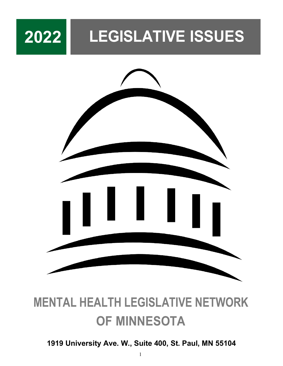# **2022 LEGISLATIVE ISSUES**



# **MENTAL HEALTH LEGISLATIVE NETWORK OF MINNESOTA**

### **1919 University Ave. W., Suite 400, St. Paul, MN 55104**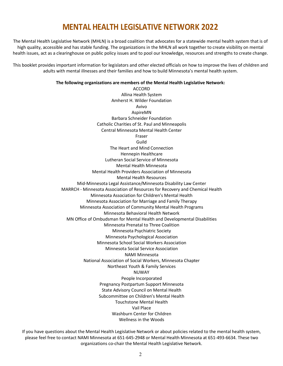### **MENTAL HEALTH LEGISLATIVE NETWORK 2022**

The Mental Health Legislative Network (MHLN) is a broad coalition that advocates for a statewide mental health system that is of high quality, accessible and has stable funding. The organizations in the MHLN all work together to create visibility on mental health issues, act as a clearinghouse on public policy issues and to pool our knowledge, resources and strengths to create change.

This booklet provides important information for legislators and other elected officials on how to improve the lives of children and adults with mental illnesses and their families and how to build Minnesota's mental health system.

#### **The following organizations are members of the Mental Health Legislative Network:**

ACCORD Allina Health System Amherst H. Wilder Foundation Avivo AspireMN Barbara Schneider Foundation Catholic Charities of St. Paul and Minneapolis Central Minnesota Mental Health Center Fraser Guild The Heart and Mind Connection Hennepin Healthcare Lutheran Social Service of Minnesota Mental Health Minnesota Mental Health Providers Association of Minnesota Mental Health Resources Mid-Minnesota Legal Assistance/Minnesota Disability Law Center MARRCH - Minnesota Association of Resources for Recovery and Chemical Health Minnesota Association for Children's Mental Health Minnesota Association for Marriage and Family Therapy Minnesota Association of Community Mental Health Programs Minnesota Behavioral Health Network MN Office of Ombudsman for Mental Health and Developmental Disabilities Minnesota Prenatal to Three Coalition Minnesota Psychiatric Society Minnesota Psychological Association Minnesota School Social Workers Association Minnesota Social Service Association NAMI Minnesota National Association of Social Workers, Minnesota Chapter Northeast Youth & Family Services NUWAY People Incorporated Pregnancy Postpartum Support Minnesota State Advisory Council on Mental Health Subcommittee on Children's Mental Health Touchstone Mental Health Vail Place Washburn Center for Children Wellness in the Woods

If you have questions about the Mental Health Legislative Network or about policies related to the mental health system, please feel free to contact NAMI Minnesota at 651-645-2948 or Mental Health Minnesota at 651-493-6634. These two organizations co-chair the Mental Health Legislative Network.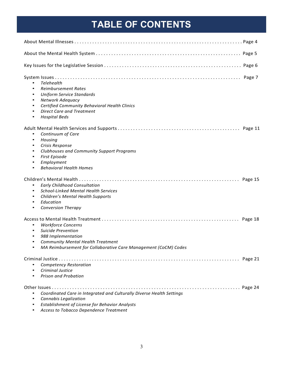## **TABLE OF CONTENTS**

| Telehealth<br>$\bullet$<br><b>Reimbursement Rates</b><br>٠<br><b>Uniform Service Standards</b><br>$\bullet$<br>Network Adequacy<br>$\bullet$<br>Certified Community Behavioral Health Clinics<br>$\bullet$<br><b>Direct Care and Treatment</b><br>$\bullet$<br><b>Hospital Beds</b><br>$\bullet$ |  |
|--------------------------------------------------------------------------------------------------------------------------------------------------------------------------------------------------------------------------------------------------------------------------------------------------|--|
| Continuum of Care<br>$\bullet$<br>Housing<br>$\bullet$<br>Crisis Response<br>$\bullet$<br>Clubhouses and Community Support Programs<br>٠<br>First Episode<br>٠<br>Employment<br>$\bullet$<br><b>Behavioral Health Homes</b><br>$\bullet$                                                         |  |
| <b>Early Childhood Consultation</b><br>$\bullet$<br>School-Linked Mental Health Services<br>$\bullet$<br>Children's Mental Health Supports<br>$\bullet$<br>Education<br>$\bullet$<br><b>Conversion Therapy</b><br>$\bullet$                                                                      |  |
| <b>Workforce Concerns</b><br>$\bullet$<br>Suicide Prevention<br>$\bullet$<br>988 Implementation<br>Community Mental Health Treatment<br>MA Reimbursement for Collaborative Care Management (CoCM) Codes                                                                                          |  |
| Competency Restoration<br>Criminal Justice<br>Prison and Probation                                                                                                                                                                                                                               |  |
| Coordinated Care in Integrated and Culturally Diverse Health Settings<br>Cannabis Legalization<br>٠<br>Establishment of License for Behavior Analysts<br>$\bullet$                                                                                                                               |  |

• *Access to Tobacco Dependence Treatment*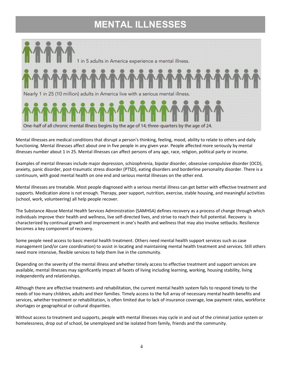## **MENTAL ILLNESSES**



Mental illnesses are medical conditions that disrupt a person's thinking, feeling, mood, ability to relate to others and daily functioning. Mental illnesses affect about one in five people in any given year. People affected more seriously by mental illnesses number about 1 in 25. Mental illnesses can affect persons of any age, race, religion, political party or income.

Examples of mental illnesses include major depression, schizophrenia, bipolar disorder, obsessive compulsive disorder (OCD), anxiety, panic disorder, post-traumatic stress disorder (PTSD), eating disorders and borderline personality disorder. There is a continuum, with good mental health on one end and serious mental illnesses on the other end.

Mental illnesses are treatable. Most people diagnosed with a serious mental illness can get better with effective treatment and supports. Medication alone is not enough. Therapy, peer support, nutrition, exercise, stable housing, and meaningful activities (school, work, volunteering) all help people recover.

The Substance Abuse Mental Health Services Administration (SAMHSA) defines recovery as a process of change through which individuals improve their health and wellness, live self-directed lives, and strive to reach their full potential. Recovery is characterized by continual growth and improvement in one's health and wellness that may also involve setbacks. Resilience becomes a key component of recovery.

Some people need access to basic mental health treatment. Others need mental health support services such as case management (and/or care coordination) to assist in locating and maintaining mental health treatment and services. Still others need more intensive, flexible services to help them live in the community.

Depending on the severity of the mental illness and whether timely access to effective treatment and support services are available, mental illnesses may significantly impact all facets of living including learning, working, housing stability, living independently and relationships.

Although there are effective treatments and rehabilitation, the current mental health system fails to respond timely to the needs of too many children, adults and their families. Timely access to the full array of necessary mental health benefits and services, whether treatment or rehabilitation, is often limited due to lack of insurance coverage, low payment rates, workforce shortages or geographical or cultural disparities.

Without access to treatment and supports, people with mental illnesses may cycle in and out of the criminal justice system or homelessness, drop out of school, be unemployed and be isolated from family, friends and the community.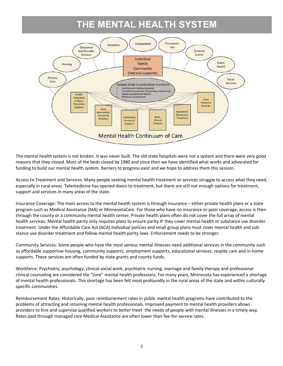### **THE MENTAL HEALTH SYSTEM**



The mental health system is not broken. It was never built. The old state hospitals were not a system and there were very good reasons that they closed. Most of the beds closed by 1980 and since then we have identified what works and advocated for funding to build our mental health system. Barriers to progress exist and we hope to address them this session.

Access to Treatment and Services: Many people seeking mental health treatment or services struggle to access what they need, especially in rural areas. Telemedicine has opened doors to treatment, but there are still not enough options for treatment, support and services in many areas of the state.

Insurance Coverage: The main access to the mental health system is through insurance – either private health plans or a state program such as Medical Assistance (MA) or MinnesotaCare. For those who have no insurance or poor coverage, access is then through the county or a community mental health center. Private health plans often do not cover the full array of mental health services. Mental health parity only requires plans to ensure parity IF they cover mental health or substance use disorder treatment. Under the Affordable Care Act (ACA) individual policies and small group plans must cover mental health and substance use disorder treatment and follow mental health parity laws. Enforcement needs to be stronger.

Community Services: Some people who have the most serious mental illnesses need additional services in the community such as affordable supportive housing, community supports, employment supports, educational services, respite care and in-home supports. These services are often funded by state grants and county funds.

Workforce: Psychiatry, psychology, clinical social work, psychiatric nursing, marriage and family therapy and professional clinical counseling are considered the "core" mental health professions. For many years, Minnesota has experienced a shortage of mental health professionals. This shortage has been felt most profoundly in the rural areas of the state and within culturally specific communities.

Reimbursement Rates: Historically, poor reimbursement rates in public mental health programs have contributed to the problems of attracting and retaining mental health professionals. Improved payment to mental health providers allows providers to hire and supervise qualified workers to better meet the needs of people with mental illnesses in a timely way. Rates paid through managed care Medical Assistance are often lower than fee-for-service rates.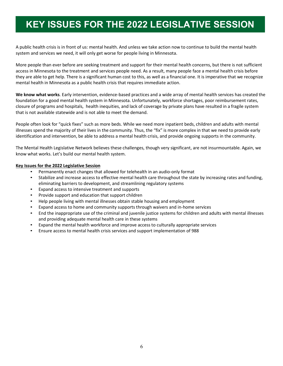## **KEY ISSUES FOR THE 2022 LEGISLATIVE SESSION**

A public health crisis is in front of us: mental health. And unless we take action now to continue to build the mental health system and services we need, it will only get worse for people living in Minnesota.

More people than ever before are seeking treatment and support for their mental health concerns, but there is not sufficient access in Minnesota to the treatment and services people need. As a result, many people face a mental health crisis before they are able to get help. There is a significant human cost to this, as well as a financial one. It is imperative that we recognize mental health in Minnesota as a public health crisis that requires immediate action.

**We know what works***.* Early intervention, evidence-based practices and a wide array of mental health services has created the foundation for a good mental health system in Minnesota. Unfortunately, workforce shortages, poor reimbursement rates, closure of programs and hospitals, health inequities, and lack of coverage by private plans have resulted in a fragile system that is not available statewide and is not able to meet the demand.

People often look for "quick fixes" such as more beds. While we need more inpatient beds, children and adults with mental illnesses spend the majority of their lives in the community. Thus, the "fix" is more complex in that we need to provide early identification and intervention, be able to address a mental health crisis, and provide ongoing supports in the community.

The Mental Health Legislative Network believes these challenges, though very significant, are not insurmountable. Again, we know what works. Let's build our mental health system.

#### **Key Issues for the 2022 Legislative Session**

- Permanently enact changes that allowed for telehealth in an audio-only format
- Stabilize and increase access to effective mental health care throughout the state by increasing rates and funding, eliminating barriers to development, and streamlining regulatory systems
- Expand access to intensive treatment and supports
- Provide support and education that support children
- Help people living with mental illnesses obtain stable housing and employment
- Expand access to home and community supports through waivers and in-home services
- End the inappropriate use of the criminal and juvenile justice systems for children and adults with mental illnesses and providing adequate mental health care in these systems
- Expand the mental health workforce and improve access to culturally appropriate services
- Ensure access to mental health crisis services and support implementation of 988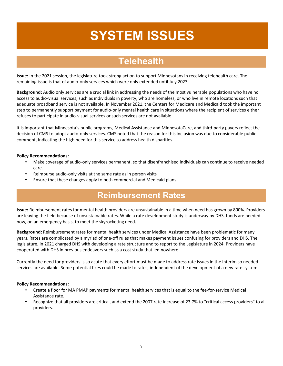# **SYSTEM ISSUES**

### **Telehealth**

**Issue:** In the 2021 session, the legislature took strong action to support Minnesotans in receiving telehealth care. The remaining issue is that of audio-only services which were only extended until July 2023.

**Background:** Audio only services are a crucial link in addressing the needs of the most vulnerable populations who have no access to audio-visual services, such as individuals in poverty, who are homeless, or who live in remote locations such that adequate broadband service is not available. In November 2021, the Centers for Medicare and Medicaid took the important step to permanently support payment for audio-only mental health care in situations where the recipient of services either refuses to participate in audio-visual services or such services are not available.

It is important that Minnesota's public programs, Medical Assistance and MinnesotaCare, and third-party payers reflect the decision of CMS to adopt audio-only services. CMS noted that the reason for this inclusion was due to considerable public comment, indicating the high need for this service to address health disparities.

#### **Policy Recommendations:**

- Make coverage of audio-only services permanent, so that disenfranchised individuals can continue to receive needed care.
- Reimburse audio-only visits at the same rate as in person visits
- Ensure that these changes apply to both commercial and Medicaid plans

### **Reimbursement Rates**

**Issue:** Reimbursement rates for mental health providers are unsustainable in a time when need has grown by 800%. Providers are leaving the field because of unsustainable rates. While a rate development study is underway by DHS, funds are needed now, on an emergency basis, to meet the skyrocketing need.

**Background:** Reimbursement rates for mental health services under Medical Assistance have been problematic for many years. Rates are complicated by a myriad of one-off rules that makes payment issues confusing for providers and DHS. The legislature, in 2021 charged DHS with developing a rate structure and to report to the Legislature in 2024. Providers have cooperated with DHS in previous endeavors such as a cost study that led nowhere.

Currently the need for providers is so acute that every effort must be made to address rate issues in the interim so needed services are available. Some potential fixes could be made to rates, independent of the development of a new rate system.

- Create a floor for MA PMAP payments for mental health services that is equal to the fee-for-service Medical Assistance rate.
- Recognize that all providers are critical, and extend the 2007 rate increase of 23.7% to "critical access providers" to all providers.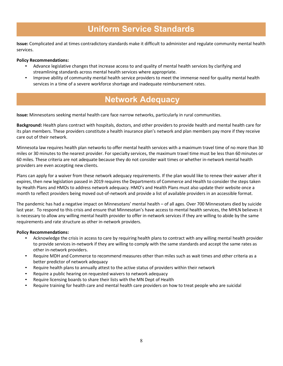### **Uniform Service Standards**

**Issue:** Complicated and at times contradictory standards make it difficult to administer and regulate community mental health services.

#### **Policy Recommendations:**

- Advance legislative changes that increase access to and quality of mental health services by clarifying and streamlining standards across mental health services where appropriate.
- Improve ability of community mental health service providers to meet the immense need for quality mental health services in a time of a severe workforce shortage and inadequate reimbursement rates.

### **Network Adequacy**

**Issue:** Minnesotans seeking mental health care face narrow networks, particularly in rural communities.

**Background:** Health plans contract with hospitals, doctors, and other providers to provide health and mental health care for its plan members. These providers constitute a health insurance plan's network and plan members pay more if they receive care out of their network.

Minnesota law requires health plan networks to offer mental health services with a maximum travel time of no more than 30 miles or 30 minutes to the nearest provider. For specialty services, the maximum travel time must be less than 60 minutes or 60 miles. These criteria are not adequate because they do not consider wait times or whether in-network mental health providers are even accepting new clients.

Plans can apply for a waiver from these network adequacy requirements. If the plan would like to renew their waiver after it expires, then new legislation passed in 2019 requires the Departments of Commerce and Health to consider the steps taken by Health Plans and HMOs to address network adequacy. HMO's and Health Plans must also update their website once a month to reflect providers being moved out-of-network and provide a list of available providers in an accessible format.

The pandemic has had a negative impact on Minnesotans' mental health – of all ages. Over 700 Minnesotans died by suicide last year. To respond to this crisis and ensure that Minnesotan's have access to mental health services, the MHLN believes it is necessary to allow any willing mental health provider to offer in-network services if they are willing to abide by the same requirements and rate structure as other in-network providers.

- Acknowledge the crisis in access to care by requiring health plans to contract with any willing mental health provider to provide services in-network if they are willing to comply with the same standards and accept the same rates as other in-network providers.
- Require MDH and Commerce to recommend measures other than miles such as wait times and other criteria as a better predictor of network adequacy
- Require health plans to annually attest to the active status of providers within their network
- Require a public hearing on requested waivers to network adequacy
- Require licensing boards to share their lists with the MN Dept of Health
- Require training for health care and mental health care providers on how to treat people who are suicidal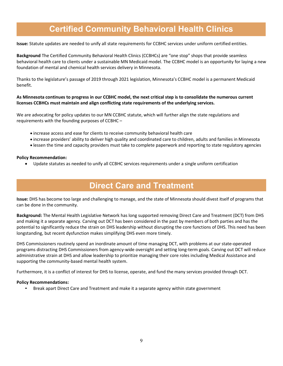### **Certified Community Behavioral Health Clinics**

**Issue:** Statute updates are needed to unify all state requirements for CCBHC services under uniform certified entities.

**Background** The Certified Community Behavioral Health Clinics (CCBHCs) are "one stop" shops that provide seamless behavioral health care to clients under a sustainable MN Medicaid model. The CCBHC model is an opportunity for laying a new foundation of mental and chemical health services delivery in Minnesota.

Thanks to the legislature's passage of 2019 through 2021 legislation, Minnesota's CCBHC model is a permanent Medicaid benefit.

#### **As Minnesota continues to progress in our CCBHC model, the next critical step is to consolidate the numerous current licenses CCBHCs must maintain and align conflicting state requirements of the underlying services.**

We are advocating for policy updates to our MN CCBHC statute, which will further align the state regulations and requirements with the founding purposes of CCBHC –

- increase access and ease for clients to receive community behavioral health care
- increase providers' ability to deliver high quality and coordinated care to children, adults and families in Minnesota
- lessen the time and capacity providers must take to complete paperwork and reporting to state regulatory agencies

#### **Policy Recommendation:**

• Update statutes as needed to unify all CCBHC services requirements under a single uniform certification

### **Direct Care and Treatment**

**Issue:** DHS has become too large and challenging to manage, and the state of Minnesota should divest itself of programs that can be done in the community.

**Background:** The Mental Health Legislative Network has long supported removing Direct Care and Treatment (DCT) from DHS and making it a separate agency. Carving out DCT has been considered in the past by members of both parties and has the potential to significantly reduce the strain on DHS leadership without disrupting the core functions of DHS. This need has been longstanding, but recent dysfunction makes simplifying DHS even more timely.

DHS Commissioners routinely spend an inordinate amount of time managing DCT, with problems at our state-operated programs distracting DHS Commissioners from agency-wide oversight and setting long-term goals. Carving out DCT will reduce administrative strain at DHS and allow leadership to prioritize managing their core roles including Medical Assistance and supporting the community-based mental health system.

Furthermore, it is a conflict of interest for DHS to license, operate, and fund the many services provided through DCT.

#### **Policy Recommendations:**

• Break apart Direct Care and Treatment and make it a separate agency within state government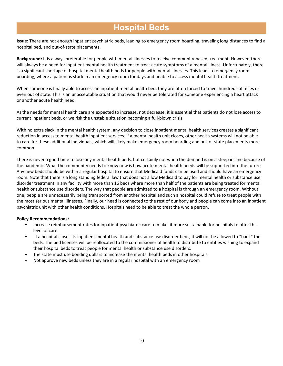### **Hospital Beds**

**Issue:** There are not enough inpatient psychiatric beds, leading to emergency room boarding, traveling long distances to find a hospital bed, and out-of-state placements.

**Background:** It is always preferable for people with mental illnesses to receive community-based treatment. However, there will always be a need for inpatient mental health treatment to treat acute symptoms of a mental illness. Unfortunately, there is a significant shortage of hospital mental health beds for people with mental illnesses. This leads to emergency room boarding, where a patient is stuck in an emergency room for days and unable to access mental health treatment.

When someone is finally able to access an inpatient mental health bed, they are often forced to travel hundreds of miles or even out of state. This is an unacceptable situation that would never be tolerated for someone experiencing a heart attack or another acute health need.

As the needs for mental health care are expected to increase, not decrease, it is essential that patients do not lose access to current inpatient beds, or we risk the unstable situation becoming a full-blown crisis.

With no extra slack in the mental health system, any decision to close inpatient mental health services creates a significant reduction in access to mental health inpatient services. If a mental health unit closes, other health systems will not be able to care for these additional individuals, which will likely make emergency room boarding and out-of-state placements more common.

There is never a good time to lose any mental health beds, but certainly not when the demand is on a steep incline because of the pandemic. What the community needs to know now is how acute mental health needs will be supported into the future. Any new beds should be within a regular hospital to ensure that Medicaid funds can be used and should have an emergency room. Note that there is a long standing federal law that does not allow Medicaid to pay for mental health or substance use disorder treatment in any facility with more than 16 beds where more than half of the patients are being treated for mental health or substance use disorders. The way that people are admitted to a hospital is through an emergency room. Without one, people are unnecessarily being transported from another hospital and such a hospital could refuse to treat people with the most serious mental illnesses. Finally, our head is connected to the rest of our body and people can come into an inpatient psychiatric unit with other health conditions. Hospitals need to be able to treat the whole person.

- Increase reimbursement rates for inpatient psychiatric care to make it more sustainable for hospitals to offer this level of care.
- If a hospital closes its inpatient mental health and substance use disorder beds, it will not be allowed to "bank" the beds. The bed licenses will be reallocated to the commissioner of health to distribute to entities wishing to expand their hospital beds to treat people for mental health or substance use disorders.
- The state must use bonding dollars to increase the mental health beds in other hospitals.
- Not approve new beds unless they are in a regular hospital with an emergency room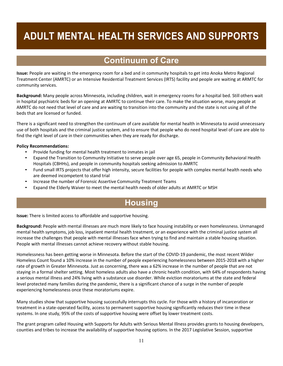# **ADULT MENTAL HEALTH SERVICES AND SUPPORTS**

### **Continuum of Care**

**Issue:** People are waiting in the emergency room for a bed and in community hospitals to get into Anoka Metro Regional Treatment Center (AMRTC) or an Intensive Residential Treatment Services (IRTS) facility and people are waiting at ARMTC for community services.

**Background:** Many people across Minnesota, including children, wait in emergency rooms for a hospital bed. Still others wait in hospital psychiatric beds for an opening at AMRTC to continue their care. To make the situation worse, many people at AMRTC do not need that level of care and are waiting to transition into the community and the state is not using all of the beds that are licensed or funded.

There is a significant need to strengthen the continuum of care available for mental health in Minnesota to avoid unnecessary use of both hospitals and the criminal justice system, and to ensure that people who do need hospital level of care are able to find the right level of care in their communities when they are ready for discharge.

#### **Policy Recommendations:**

- Provide funding for mental health treatment to inmates in jail
- Expand the Transition to Community Initiative to serve people over age 65, people in Community Behavioral Health Hospitals (CBHHs), and people in community hospitals seeking admission to AMRTC
- Fund small IRTS projects that offer high intensity, secure facilities for people with complex mental health needs who are deemed incompetent to stand trial
- Increase the number of Forensic Assertive Community Treatment Teams
- Expand the Elderly Waiver to meet the mental health needs of older adults at AMRTC or MSH

### **Housing**

**Issue:** There is limited access to affordable and supportive housing.

**Background:** People with mental illnesses are much more likely to face housing instability or even homelessness. Unmanaged mental health symptoms, job loss, inpatient mental health treatment, or an experience with the criminal justice system all increase the challenges that people with mental illnesses face when trying to find and maintain a stable housing situation. People with mental illnesses cannot achieve recovery without stable housing.

Homelessness has been getting worse in Minnesota. Before the start of the COVID-19 pandemic, the most recent Wilder Homeless Count found a 10% increase in the number of people experiencing homelessness between 2015-2018 with a higher rate of growth in Greater Minnesota. Just as concerning, there was a 62% increase in the number of people that are not staying in a formal shelter setting. Most homeless adults also have a chronic health condition, with 64% of respondents having a serious mental illness and 24% living with a substance use disorder. While eviction moratoriums at the state and federal level protected many families during the pandemic, there is a significant chance of a surge in the number of people experiencing homelessness once these moratoriums expire.

Many studies show that supportive housing successfully interrupts this cycle. For those with a history of incarceration or treatment in a state-operated facility, access to permanent supportive housing significantly reduces their time in these systems. In one study, 95% of the costs of supportive housing were offset by lower treatment costs.

The grant program called Housing with Supports for Adults with Serious Mental Illness provides grants to housing developers, counties and tribes to increase the availability of supportive housing options. In the 2017 Legislative Session, supportive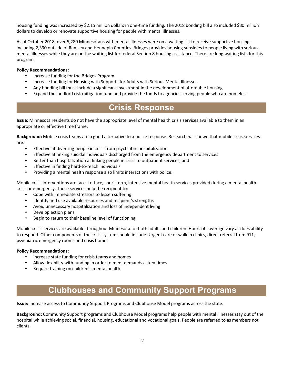housing funding was increased by \$2.15 million dollars in one-time funding. The 2018 bonding bill also included \$30 million dollars to develop or renovate supportive housing for people with mental illnesses.

As of October 2018, over 5,280 Minnesotans with mental illnesses were on a waiting list to receive supportive housing, including 2,390 outside of Ramsey and Hennepin Counties. Bridges provides housing subsidies to people living with serious mental illnesses while they are on the waiting list for federal Section 8 housing assistance. There are long waiting lists for this program.

#### **Policy Recommendations:**

- Increase funding for the Bridges Program
- Increase funding for Housing with Supports for Adults with Serious Mental Illnesses
- Any bonding bill must include a significant investment in the development of affordable housing
- Expand the landlord risk mitigation fund and provide the funds to agencies serving people who are homeless

### **Crisis Response**

**Issue:** Minnesota residents do not have the appropriate level of mental health crisis services available to them in an appropriate or effective time frame.

**Background:** Mobile crisis teams are a good alternative to a police response. Research has shown that mobile crisis services are:

- Effective at diverting people in crisis from psychiatric hospitalization
- Effective at linking suicidal individuals discharged from the emergency department to services
- Better than hospitalization at linking people in crisis to outpatient services, and
- Effective in finding hard-to-reach individuals
- Providing a mental health response also limits interactions with police.

Mobile crisis interventions are face- to-face, short-term, intensive mental health services provided during a mental health crisis or emergency. These services help the recipient to:

- Cope with immediate stressors to lessen suffering
- Identify and use available resources and recipient's strengths
- Avoid unnecessary hospitalization and loss of independent living
- Develop action plans
- Begin to return to their baseline level of functioning

Mobile crisis services are available throughout Minnesota for both adults and children. Hours of coverage vary as does ability to respond. Other components of the crisis system should include: Urgent care or walk in clinics, direct referral from 911, psychiatric emergency rooms and crisis homes.

#### **Policy Recommendations:**

- Increase state funding for crisis teams and homes
- Allow flexibility with funding in order to meet demands at key times
- Require training on children's mental health

### **Clubhouses and Community Support Programs**

**Issue:** Increase access to Community Support Programs and Clubhouse Model programs across the state.

**Background:** Community Support programs and Clubhouse Model programs help people with mental illnesses stay out of the hospital while achieving social, financial, housing, educational and vocational goals. People are referred to as members not clients.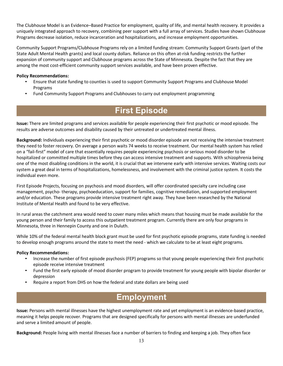The Clubhouse Model is an Evidence–Based Practice for employment, quality of life, and mental health recovery. It provides a uniquely integrated approach to recovery, combining peer support with a full array of services. Studies have shown Clubhouse Programs decrease isolation, reduce incarceration and hospitalizations, and increase employment opportunities.

Community Support Programs/Clubhouse Programs rely on a limited funding stream: Community Support Grants (part of the State Adult Mental Health grants) and local county dollars. Reliance on this often at-risk funding restricts the further expansion of community support and Clubhouse programs across the State of Minnesota. Despite the fact that they are among the most cost-efficient community support services available, and have been proven effective.

#### **Policy Recommendations:**

- Ensure that state funding to counties is used to support Community Support Programs and Clubhouse Model Programs
- Fund Community Support Programs and Clubhouses to carry out employment programming

### **First Episode**

**Issue:** There are limited programs and services available for people experiencing their first psychotic or mood episode. The results are adverse outcomes and disability caused by their untreated or undertreated mental illness.

**Background:** Individuals experiencing their first psychotic or mood disorder episode are not receiving the intensive treatment they need to foster recovery. On average a person waits 74 weeks to receive treatment. Our mental health system has relied on a "fail-first" model of care that essentially requires people experiencing psychosis or serious mood disorder to be hospitalized or committed multiple times before they can access intensive treatment and supports. With schizophrenia being one of the most disabling conditions in the world, it is crucial that we intervene early with intensive services. Waiting costs our system a great deal in terms of hospitalizations, homelessness, and involvement with the criminal justice system. It costs the individual even more.

First Episode Projects, focusing on psychosis and mood disorders, will offer coordinated specialty care including case management, psycho- therapy, psychoeducation, support for families, cognitive remediation, and supported employment and/or education. These programs provide intensive treatment right away. They have been researched by the National Institute of Mental Health and found to be very effective.

In rural areas the catchment area would need to cover many miles which means that housing must be made available for the young person and their family to access this outpatient treatment program. Currently there are only four programs in Minnesota, three in Hennepin County and one in Duluth.

While 10% of the federal mental health block grant must be used for first psychotic episode programs, state funding is needed to develop enough programs around the state to meet the need - which we calculate to be at least eight programs.

#### **Policy Recommendations:**

- Increase the number of first episode psychosis (FEP) programs so that young people experiencing their first psychotic episode receive intensive treatment
- Fund the first early episode of mood disorder program to provide treatment for young people with bipolar disorder or depression
- Require a report from DHS on how the federal and state dollars are being used

### **Employment**

**Issue:** Persons with mental illnesses have the highest unemployment rate and yet employment is an evidence-based practice, meaning it helps people recover. Programs that are designed specifically for persons with mental illnesses are underfunded and serve a limited amount of people.

**Background:** People living with mental illnesses face a number of barriers to finding and keeping a job. They often face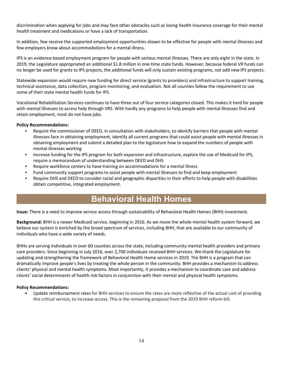discrimination when applying for jobs and may face other obstacles such as losing health insurance coverage for their mental health treatment and medications or have a lack of transportation.

In addition, few receive the supported employment opportunities shown to be effective for people with mental illnesses and few employers know about accommodations for a mental illness.

IPS is an evidence-based employment program for people with serious mental illnesses. There are only eight in the state. In 2019, the Legislature appropriated an additional \$1.8 million in one-time state funds. However, because federal VR funds can no longer be used for grants to IPS projects, the additional funds will only sustain existing programs, not add new IPS projects.

Statewide expansion would require new funding for direct service (grants to providers) and infrastructure to support training, technical assistance, data collection, program monitoring, and evaluation. Not all counties follow the requirement to use some of their state mental health funds for IPS.

Vocational Rehabilitation Services continues to have three out of four service categories closed. This makes it hard for people with mental illnesses to access help through VRS. With hardly any programs to help people with mental illnesses find and retain employment, most do not have jobs.

#### **Policy Recommendations:**

- Require the commissioner of DEED, in consultation with stakeholders, to identify barriers that people with mental illnesses face in obtaining employment, identify all current programs that could assist people with mental illnesses in obtaining employment and submit a detailed plan to the legislature how to expand the numbers of people with mental illnesses working
- Increase funding for the IPS program for both expansion and infrastructure, explore the use of Medicaid for IPS, require a memorandum of understanding between DEED and DHS
- Require workforce centers to have training on accommodations for a mental illness
- Fund community support programs to assist people with mental illnesses to find and keep employment
- Require DHS and DEED to consider racial and geographic disparities in their efforts to help people with disabilities obtain competitive, integrated employment.

### **Behavioral Health Homes**

**Issue:** There is a need to improve service access through sustainability of Behavioral Health Homes (BHH) investment.

**Background:** BHH is a newer Medicaid service, beginning in 2016. As we move the whole mental health system forward, we believe our system is enriched by the broad spectrum of services, including BHH, that are available to our community of individuals who have a wide variety of needs.

BHHs are serving individuals in over 60 counties across the state, including community mental health providers and primary care providers. Since beginning in July 2016, over 2,700 individuals received BHH services. We thank the Legislature for updating and strengthening the framework of Behavioral Health Home services in 2019. The BHH is a program that can dramatically improve people's lives by treating the whole person in the community. BHH provides a mechanism to address clients' physical and mental health symptoms. Most importantly, it provides a mechanism to coordinate care and address clients' social determinants of health risk factors in conjunction with their mental and physical health symptoms.

#### **Policy Recommendations:**

• Update reimbursement rates for BHH services to ensure the rates are more reflective of the actual cost of providing this critical service, to increase access. This is the remaining proposal from the 2019 BHH reform bill.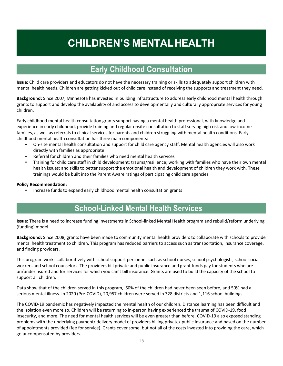# **CHILDREN'S MENTALHEALTH**

### **Early Childhood Consultation**

**Issue:** Child care providers and educators do not have the necessary training or skills to adequately support children with mental health needs. Children are getting kicked out of child care instead of receiving the supports and treatment they need.

**Background:** Since 2007, Minnesota has invested in building infrastructure to address early childhood mental health through grants to support and develop the availability of and access to developmentally and culturally appropriate services for young children.

Early childhood mental health consultation grants support having a mental health professional, with knowledge and experience in early childhood, provide training and regular onsite consultation to staff serving high risk and low-income families, as well as referrals to clinical services for parents and children struggling with mental health conditions. Early childhood mental health consultation has three main components:

- On-site mental health consultation and support for child care agency staff. Mental health agencies will also work directly with families as appropriate
- Referral for children and their families who need mental health services
- Training for child care staff in child development; trauma/resilience; working with families who have their own mental health issues; and skills to better support the emotional health and development of children they work with. These trainings would be built into the Parent Aware ratings of participating child care agencies

#### **Policy Recommendation:**

• Increase funds to expand early childhood mental health consultation grants

### **School-Linked Mental Health Services**

**Issue:** There is a need to increase funding investments in School-linked Mental Health program and rebuild/reform underlying (funding) model.

**Background:** Since 2008, grants have been made to community mental health providers to collaborate with schools to provide mental health treatment to children. This program has reduced barriers to access such as transportation, insurance coverage, and finding providers.

This program works collaboratively with school support personnel such as school nurses, school psychologists, school social workers and school counselors. The providers bill private and public insurance and grant funds pay for students who are un/underinsured and for services for which you can't bill insurance. Grants are used to build the capacity of the school to support all children.

Data show that of the children served in this program, 50% of the children had never been seen before, and 50% had a serious mental illness. In 2020 (Pre-COVID), 20,957 children were served in 328 districts and 1,116 school buildings.

The COVID-19 pandemic has negatively impacted the mental health of our children. Distance learning has been difficult and the isolation even more so. Children will be returning to in-person having experienced the trauma of COVID-19, food insecurity, and more. The need for mental health services will be even greater than before. COVID-19 also exposed standing problems with the underlying payment/ delivery model of providers billing private/ public insurance and based on the number of appointments provided (fee for service). Grants cover some, but not all of the costs invested into providing the care, which go uncompensated by providers.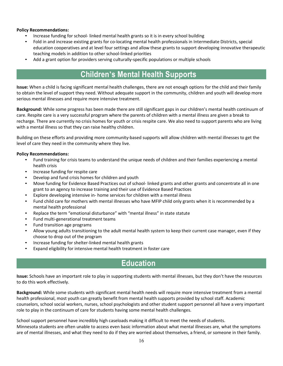#### **Policy Recommendations:**

- Increase funding for school- linked mental health grants so it is in every school building
- Fold in and increase existing grants for co-locating mental health professionals in Intermediate Districts, special education cooperatives and at level four settings and allow these grants to support developing innovative therapeutic teaching models in addition to other school-linked priorities
- Add a grant option for providers serving culturally-specific populations or multiple schools

### **Children's Mental Health Supports**

**Issue:** When a child is facing significant mental health challenges, there are not enough options for the child and their family to obtain the level of support they need. Without adequate support in the community, children and youth will develop more serious mental illnesses and require more intensive treatment.

**Background:** While some progress has been made there are still significant gaps in our children's mental health continuum of care. Respite care is a very successful program where the parents of children with a mental illness are given a break to recharge. There are currently no crisis homes for youth or crisis respite care. We also need to support parents who are living with a mental illness so that they can raise healthy children.

Building on these efforts and providing more community-based supports will allow children with mental illnesses to get the level of care they need in the community where they live.

#### **Policy Recommendations:**

- Fund training for crisis teams to understand the unique needs of children and their families experiencing a mental health crisis
- Increase funding for respite care
- Develop and fund crisis homes for children and youth
- Move funding for Evidence Based Practices out of school- linked grants and other grants and concentrate all in one grant to an agency to increase training and their use of Evidence Based Practices
- Explore developing intensive in- home services for children with a mental illness
- Fund child care for mothers with mental illnesses who have MFIP child only grants when it is recommended by a mental health professional
- Replace the term "emotional disturbance" with "mental illness" in state statute
- Fund multi-generational treatment teams
- Fund transition age programs
- Allow young adults transitioning to the adult mental health system to keep their current case manager, even if they choose to drop out of the program
- Increase funding for shelter-linked mental health grants
- Expand eligibility for intensive mental health treatment in foster care

### **Education**

**Issue:** Schools have an important role to play in supporting students with mental illnesses, but they don't have the resources to do this work effectively.

**Background:** While some students with significant mental health needs will require more intensive treatment from a mental health professional, most youth can greatly benefit from mental health supports provided by school staff. Academic counselors, school social workers, nurses, school psychologists and other student support personnel all have a very important role to play in the continuum of care for students having some mental health challenges.

School support personnel have incredibly high caseloads making it difficult to meet the needs of students. Minnesota students are often unable to access even basic information about what mental illnesses are, what the symptoms are of mental illnesses, and what they need to do if they are worried about themselves, a friend, or someone in their family.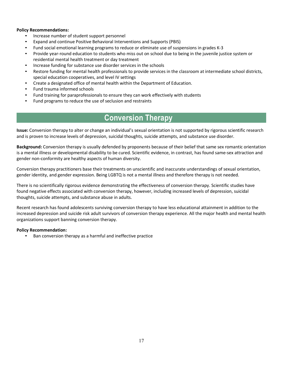#### **Policy Recommendations:**

- Increase number of student support personnel
- Expand and continue Positive Behavioral Interventions and Supports (PBIS)
- Fund social emotional learning programs to reduce or eliminate use of suspensions in grades K-3
- Provide year-round education to students who miss out on school due to being in the juvenile justice system or residential mental health treatment or day treatment
- Increase funding for substance use disorder services in the schools
- Restore funding for mental health professionals to provide services in the classroom at intermediate school districts, special education cooperatives, and level IV settings
- Create a designated office of mental health within the Department of Education.
- Fund trauma informed schools
- Fund training for paraprofessionals to ensure they can work effectively with students
- Fund programs to reduce the use of seclusion and restraints

### **Conversion Therapy**

**Issue:** Conversion therapy to alter or change an individual's sexual orientation is not supported by rigorous scientific research and is proven to increase levels of depression, suicidal thoughts, suicide attempts, and substance use disorder.

**Background:** Conversion therapy is usually defended by proponents because of their belief that same sex romantic orientation is a mental illness or developmental disability to be cured. Scientific evidence, in contrast, has found same-sex attraction and gender non-conformity are healthy aspects of human diversity.

Conversion therapy practitioners base their treatments on unscientific and inaccurate understandings of sexual orientation, gender identity, and gender expression. Being LGBTQ is not a mental illness and therefore therapy is not needed.

There is no scientifically rigorous evidence demonstrating the effectiveness of conversion therapy. Scientific studies have found negative effects associated with conversion therapy, however, including increased levels of depression, suicidal thoughts, suicide attempts, and substance abuse in adults.

Recent research has found adolescents surviving conversion therapy to have less educational attainment in addition to the increased depression and suicide risk adult survivors of conversion therapy experience. All the major health and mental health organizations support banning conversion therapy.

#### **Policy Recommendation:**

Ban conversion therapy as a harmful and ineffective practice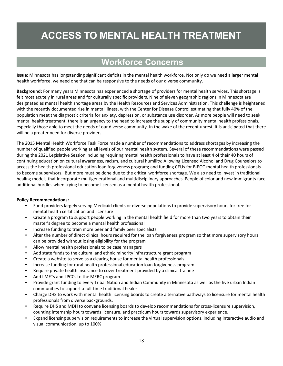# **ACCESS TO MENTAL HEALTH TREATMENT**

### **Workforce Concerns**

**Issue:** Minnesota has longstanding significant deficits in the mental health workforce. Not only do we need a larger mental health workforce, we need one that can be responsive to the needs of our diverse community.

**Background:** For many years Minnesota has experienced a shortage of providers for mental health services. This shortage is felt most acutely in rural areas and for culturally specific providers. Nine of eleven geographic regions in Minnesota are designated as mental health shortage areas by the Health Resources and Services Administration. This challenge is heightened with the recently documented rise in mental illness, with the Center for Disease Control estimating that fully 40% of the population meet the diagnostic criteria for anxiety, depression, or substance use disorder. As more people will need to seek mental health treatment, there is an urgency to the need to increase the supply of community mental health professionals, especially those able to meet the needs of our diverse community. In the wake of the recent unrest, it is anticipated that there will be a greater need for diverse providers.

The 2015 Mental Health Workforce Task Force made a number of recommendations to address shortages by increasing the number of qualified people working at all levels of our mental health system. Several of these recommendations were passed during the 2021 Legislative Session including requiring mental health professionals to have at least 4 of their 40 hours of continuing education on cultural awareness, racism, and cultural humility; Allowing Licensed Alcohol and Drug Counselors to access the health professional education loan forgiveness program; and funding CEUs for BIPOC mental health professionals to become supervisors. But more must be done due to the critical workforce shortage. We also need to invest in traditional healing models that incorporate multigenerational and multidisciplinary approaches. People of color and new immigrants face additional hurdles when trying to become licensed as a mental health professional.

- Fund providers largely serving Medicaid clients or diverse populations to provide supervisory hours for free for mental health certification and licensure
- Create a program to support people working in the mental health field for more than two years to obtain their master's degree to become a mental health professional
- Increase funding to train more peer and family peer specialists
- Alter the number of direct clinical hours required for the loan forgiveness program so that more supervisory hours can be provided without losing eligibility for the program
- Allow mental health professionals to be case managers
- Add state funds to the cultural and ethnic minority infrastructure grant program
- Create a website to serve as a clearing house for mental health professionals
- Increase funding for rural health professional education loan forgiveness program
- Require private health insurance to cover treatment provided by a clinical trainee
- Add LMFTs and LPCCs to the MERC program
- Provide grant funding to every Tribal Nation and Indian Community in Minnesota as well as the five urban Indian communities to support a full-time traditional healer
- Charge DHS to work with mental health licensing boards to create alternative pathways to licensure for mental health professionals from diverse backgrounds.
- Require DHS and MDH to convene licensing boards to develop recommendations for cross-licensure supervision, counting internship hours towards licensure, and practicum hours towards supervisory experience.
- Expand licensing supervision requirements to increase the virtual supervision options, including interactive audio and visual communication, up to 100%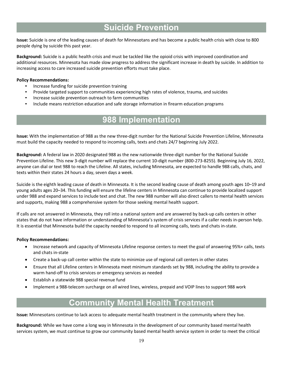### **Suicide Prevention**

**Issue:** Suicide is one of the leading causes of death for Minnesotans and has become a public health crisis with close to 800 people dying by suicide this past year.

**Background:** Suicide is a public health crisis and must be tackled like the opioid crisis with improved coordination and additional resources. Minnesota has made slow progress to address the significant increase in death by suicide. In addition to increasing access to care increased suicide prevention efforts must take place.

#### **Policy Recommendations:**

- Increase funding for suicide prevention training
- Provide targeted support to communities experiencing high rates of violence, trauma, and suicides
- Increase suicide prevention outreach to farm communities
- Include means restriction education and safe storage information in firearm education programs

### **988 Implementation**

**Issue:** With the implementation of 988 as the new three-digit number for the National Suicide Prevention Lifeline, Minnesota must build the capacity needed to respond to incoming calls, texts and chats 24/7 beginning July 2022.

**Background:** A federal law in 2020 designated 988 as the new nationwide three-digit number for the National Suicide Prevention Lifeline. This new 3-digit number will replace the current 10-digit number (800-273-8255). Beginning July 16, 2022, anyone can dial or text 988 to reach the Lifeline. All states, including Minnesota, are expected to handle 988 calls, chats, and texts within their states 24 hours a day, seven days a week.

Suicide is the eighth leading cause of death in Minnesota. It is the second leading cause of death among youth ages 10–19 and young adults ages 20–34. This funding will ensure the lifeline centers in Minnesota can continue to provide localized support under 988 and expand services to include text and chat. The new 988 number will also direct callers to mental health services and supports, making 988 a comprehensive system for those seeking mental health support.

If calls are not answered in Minnesota, they roll into a national system and are answered by back-up calls centers in other states that do not have information or understanding of Minnesota's system of crisis services if a caller needs in-person help. It is essential that Minnesota build the capacity needed to respond to all incoming calls, texts and chats in-state.

#### **Policy Recommendations:**

- Increase network and capacity of Minnesota Lifeline response centers to meet the goal of answering 95%+ calls, texts and chats in-state
- Create a back-up call center within the state to minimize use of regional call centers in other states
- Ensure that all Lifeline centers in Minnesota meet minimum standards set by 988, including the ability to provide a warm hand-off to crisis services or emergency services as needed
- Establish a statewide 988 special revenue fund
- Implement a 988-telecom surcharge on all wired lines, wireless, prepaid and VOIP lines to support 988 work

### **Community Mental Health Treatment**

**Issue:** Minnesotans continue to lack access to adequate mental health treatment in the community where they live.

**Background:** While we have come a long way in Minnesota in the development of our community based mental health services system, we must continue to grow our community based mental health service system in order to meet the critical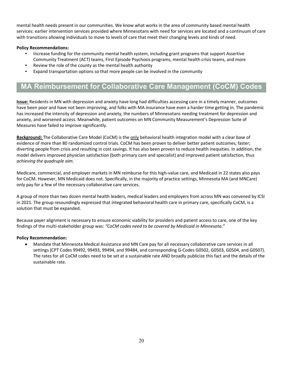mental health needs present in our communities. We know what works in the area of community based mental health services: earlier intervention services provided where Minnesotans with need for services are located and a continuum of care with transitions allowing individuals to move to levels of care that meet their changing levels and kinds of need.

#### **Policy Recommendations:**

- Increase funding for the community mental health system, including grant programs that support Assertive Community Treatment (ACT) teams, First Episode Psychosis programs, mental health crisis teams, and more
- Review the role of the county as the mental health authority
- Expand transportation options so that more people can be involved in the community

### **MA Reimbursement for Collaborative Care Management (CoCM) Codes**

**Issue:** Residents in MN with depression and anxiety have long had difficulties accessing care in a timely manner, outcomes have been poor and have not been improving, and folks with MA insurance have even a harder time getting in. The pandemic has increased the intensity of depression and anxiety, the numbers of Minnesotans needing treatment for depression and anxiety, and worsened access. Meanwhile, patient outcomes on MN Community Measurement's Depression Suite of Measures have failed to improve significantly.

**Background:** The Collaborative Care Model (CoCM) is the only behavioral health integration model with a clear base of evidence of more than 80 randomized control trials. CoCM has been proven to deliver better patient outcomes, faster; diverting people from crisis and resulting in cost savings. It has also been proven to reduce health inequities. In addition, the model delivers improved physician satisfaction (both primary care and specialist) and improved patient satisfaction, thus *achieving the quadruple aim*.

Medicare, commercial, and employer markets in MN reimburse for this high-value care, and Medicaid in 22 states also pays for CoCM. However, MN Medicaid does not. Specifically, in the majority of practice settings, Minnesota MA (and MNCare) only pay for a few of the necessary collaborative care services.

A group of more than two dozen mental health leaders, medical leaders and employers from across MN was convened by ICSI in 2021. The group resoundingly expressed that integrated behavioral health care in primary care, specifically CoCM, is a solution that must be expanded.

Because payer alignment is necessary to ensure economic viability for providers and patient access to care, one of the key findings of the multi-stakeholder group was: *"CoCM codes need to be covered by Medicaid in Minnesota."*

#### **Policy Recommendation:**

• Mandate that Minnesota Medical Assistance and MN Care pay for all necessary collaborative care services in all settings (CPT Codes 99492, 99493, 99494, and 99484, and corresponding G-Codes G0502, G0503, G0504, and G0507). The rates for all CoCM codes need to be set at a sustainable rate AND broadly publicize this fact and the details of the sustainable rate.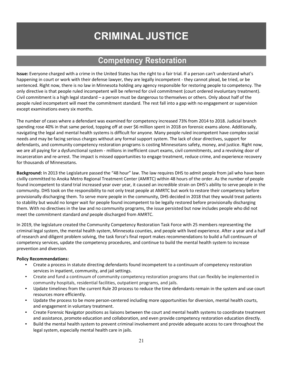# **CRIMINAL JUSTICE**

### **Competency Restoration**

**Issue:** Everyone charged with a crime in the United States has the right to a fair trial. If a person can't understand what's happening in court or work with their defense lawyer, they are legally incompetent - they cannot plead, be tried, or be sentenced. Right now, there is no law in Minnesota holding any agency responsible for restoring people to competency. The only directive is that people ruled incompetent will be referred for civil commitment (court ordered involuntary treatment). Civil commitment is a high legal standard – a person must be dangerous to themselves or others. Only about half of the people ruled incompetent will meet the commitment standard. The rest fall into a gap with no engagement or supervision except examinations every six months.

The number of cases where a defendant was examined for competency increased 73% from 2014 to 2018. Judicial branch spending rose 40% in that same period, topping off at over \$6 million spent in 2018 on forensic exams alone. Additionally, navigating the legal and mental health systems is difficult for anyone. Many people ruled incompetent have complex social needs and may be facing serious charges without any formal support system. The lack of clear directives, support for defendants, and community competency restoration programs is costing Minnesotans safety, money, and justice. Right now, we are all paying for a dysfunctional system - millions in inefficient court exams, civil commitments, and a revolving door of incarceration and re-arrest. The impact is missed opportunities to engage treatment, reduce crime, and experience recovery for thousands of Minnesotans.

**Background:** In 2013 the Legislature passed the "48 hour" law. The law requires DHS to admit people from jail who have been civilly committed to Anoka Metro Regional Treatment Center (AMRTC) within 48 hours of the order. As the number of people found incompetent to stand trial increased year over year, it caused an incredible strain on DHS's ability to serve people in the community. DHS took on the responsibility to not only treat people at AMRTC but work to restore their competency before provisionally discharging them. To serve more people in the community, DHS decided in 2018 that they would treat patients to stability but would no longer wait for people found incompetent to be legally restored before provisionally discharging them. With no directives in the law and no community programs, the issue persisted but now includes people who did not meet the commitment standard *and* people discharged from AMRTC.

In 2019, the legislature created the Community Competency Restoration Task Force with 25 members representing the criminal legal system, the mental health system, Minnesota counties, and people with lived experience. After a year and a half of research and diligent problem solving, the task force's final report makes recommendations to build a full continuum of competency services, update the competency procedures, and continue to build the mental health system to increase prevention and diversion.

- Create a process in statute directing defendants found incompetent to a continuum of competency restoration services in inpatient, community, and jail settings.
- Create and fund a continuum of community competency restoration programs that can flexibly be implemented in community hospitals, residential facilities, outpatient programs, and jails.
- Update timelines from the current Rule 20 process to reduce the time defendants remain in the system and use court resources more efficiently.
- Update the process to be more person-centered including more opportunities for diversion, mental health courts, and engagement in voluntary treatment.
- Create Forensic Navigator positions as liaisons between the court and mental health systems to coordinate treatment and assistance, promote education and collaboration, and even provide competency restoration education directly.
- Build the mental health system to prevent criminal involvement and provide adequate access to care throughout the legal system, especially mental health care in jails.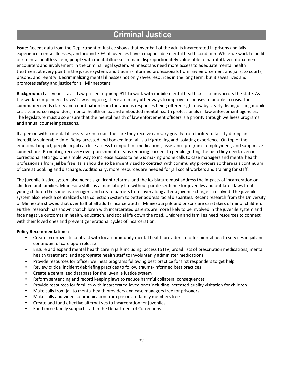### **Criminal Justice**

**Issue:** Recent data from the Department of Justice shows that over half of the adults incarcerated in prisons and jails experience mental illnesses, and around 70% of juveniles have a diagnosable mental health condition. While we work to build our mental health system, people with mental illnesses remain disproportionately vulnerable to harmful law enforcement encounters and involvement in the criminal legal system. Minnesotans need more access to adequate mental health treatment at every point in the justice system, and trauma-informed professionals from law enforcement and jails, to courts, prisons, and reentry. Decriminalizing mental illnesses not only saves resources in the long term, but it saves lives and promotes safety and justice for all Minnesotans.

**Background:** Last year, Travis' Law passed requiring 911 to work with mobile mental health crisis teams across the state. As the work to implement Travis' Law is ongoing, there are many other ways to improve responses to people in crisis. The community needs clarity and coordination from the various responses being offered right now by clearly distinguishing mobile crisis teams, co-responders, mental health units, and embedded mental health professionals in law enforcement agencies. The legislature must also ensure that the mental health of law enforcement officers is a priority through wellness programs and annual counseling sessions.

If a person with a mental illness is taken to jail, the care they receive can vary greatly from facility to facility during an incredibly vulnerable time. Being arrested and booked into jail is a frightening and isolating experience. On top of the emotional impact, people in jail can lose access to important medications, assistance programs, employment, and supportive connections. Promoting recovery over punishment means reducing barriers to people getting the help they need, even in correctional settings. One simple way to increase access to help is making phone calls to case managers and mental health professionals from jail be free. Jails should also be incentivized to contract with community providers so there is a continuum of care at booking and discharge. Additionally, more resources are needed for jail social workers and training for staff.

The juvenile justice system also needs significant reforms, and the legislature must address the impacts of incarceration on children and families. Minnesota still has a mandatory life without parole sentence for juveniles and outdated laws treat young children the same as teenagers and create barriers to recovery long after a juvenile charge is resolved. The juvenile system also needs a centralized data collection system to better address racial disparities. Recent research from the University of Minnesota showed that over half of all adults incarcerated in Minnesota jails and prisons are caretakers of minor children. Further research has shown that children with incarcerated parents are more likely to be involved in the juvenile system and face negative outcomes in health, education, and social life down the road. Children and families need resources to connect with their loved ones and prevent generational cycles of incarceration.

- Create incentives to contract with local community mental health providers to offer mental health services in jail and continuum of care upon release
- Ensure and expand mental health care in jails including: access to ITV, broad lists of prescription medications, mental health treatment, and appropriate health staff to involuntarily administer medications
- Provide resources for officer wellness programs following best practice for first responders to get help
- Review critical incident debriefing practices to follow trauma-informed best practices
- Create a centralized database for the juvenile justice system
- Reform sentencing and record keeping laws to reduce harmful collateral consequences
- Provide resources for families with incarcerated loved ones including increased quality visitation for children
- Make calls from jail to mental health providers and case managers free for prisoners
- Make calls and video communication from prisons to family members free
- Create and fund effective alternatives to incarceration for juveniles
- Fund more family support staff in the Department of Corrections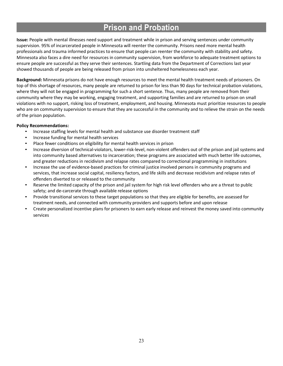### **Prison and Probation**

**Issue:** People with mental illnesses need support and treatment while in prison and serving sentences under community supervision. 95% of incarcerated people in Minnesota will reenter the community. Prisons need more mental health professionals and trauma informed practices to ensure that people can reenter the community with stability and safety. Minnesota also faces a dire need for resources in community supervision, from workforce to adequate treatment options to ensure people are successful as they serve their sentences. Startling data from the Department of Corrections last year showed thousands of people are being released from prison into unsheltered homelessness each year.

**Background:** Minnesota prisons do not have enough resources to meet the mental health treatment needs of prisoners. On top of this shortage of resources, many people are returned to prison for less than 90 days for technical probation violations, where they will not be engaged in programming for such a short sentence. Thus, many people are removed from their community where they may be working, engaging treatment, and supporting families and are returned to prison on small violations with no support, risking loss of treatment, employment, and housing. Minnesota must prioritize resources to people who are on community supervision to ensure that they are successful in the community and to relieve the strain on the needs of the prison population.

- Increase staffing levels for mental health and substance use disorder treatment staff
- Increase funding for mental health services
- Place fewer conditions on eligibility for mental health services in prison
- Increase diversion of technical-violators, lower-risk-level, non-violent offenders out of the prison and jail systems and into community based alternatives to incarceration; these programs are associated with much better life outcomes, and greater reductions in recidivism and relapse rates compared to correctional programming in institutions
- Increase the use of evidence-based practices for criminal justice involved persons in community programs and services, that increase social capital, resiliency factors, and life skills and decrease recidivism and relapse rates of offenders diverted to or released to the community
- Reserve the limited capacity of the prison and jail system for high risk level offenders who are a threat to public safety; and de-carcerate through available release options
- Provide transitional services to these target populations so that they are eligible for benefits, are assessed for treatment needs, and connected with community providers and supports before and upon release
- Create personalized incentive plans for prisoners to earn early release and reinvest the money saved into community services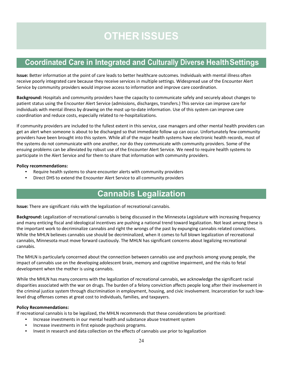# **OTHER ISSUES**

### **Coordinated Care in Integrated and Culturally Diverse HealthSettings**

**Issue:** Better information at the point of care leads to better healthcare outcomes. Individuals with mental illness often receive poorly integrated care because they receive services in multiple settings. Widespread use of the Encounter Alert Service by community providers would improve access to information and improve care coordination.

**Background:** Hospitals and community providers have the capacity to communicate safely and securely about changes to patient status using the Encounter Alert Service (admissions, discharges, transfers.) This service can improve care for individuals with mental illness by drawing on the most up-to-date information. Use of this system can improve care coordination and reduce costs, especially related to re-hospitalizations.

If community providers are included to the fullest extent in this service, case managers and other mental health providers can get an alert when someone is about to be discharged so that immediate follow up can occur. Unfortunately few community providers have been brought into this system. While all of the major health systems have electronic health records, most of the systems do not communicate with one another, nor do they communicate with community providers. Some of the ensuing problems can be alleviated by robust use of the Encounter Alert Service. We need to require health systems to participate in the Alert Service and for them to share that information with community providers.

#### **Policy recommendations:**

- Require health systems to share encounter alerts with community providers
- Direct DHS to extend the Encounter Alert Service to all community providers

### **Cannabis Legalization**

**Issue:** There are significant risks with the legalization of recreational cannabis.

**Background:** Legalization of recreational cannabis is being discussed in the Minnesota Legislature with increasing frequency and many enticing fiscal and ideological incentives are pushing a national trend toward legalization. Not least among these is the important work to decriminalize cannabis and right the wrongs of the past by expunging cannabis related convictions. While the MHLN believes cannabis use should be decriminalized, when it comes to full blown legalization of recreational cannabis, Minnesota must move forward cautiously. The MHLN has significant concerns about legalizing recreational cannabis.

The MHLN is particularly concerned about the connection between cannabis use and psychosis among young people, the impact of cannabis use on the developing adolescent brain, memory and cognitive impairment, and the risks to fetal development when the mother is using cannabis.

While the MHLN has many concerns with the legalization of recreational cannabis, we acknowledge the significant racial disparities associated with the war on drugs. The burden of a felony conviction affects people long after their involvement in the criminal justice system through discrimination in employment, housing, and civic involvement. Incarceration for such lowlevel drug offenses comes at great cost to individuals, families, and taxpayers.

#### **Policy Recommendations:**

If recreational cannabis is to be legalized, the MHLN recommends that these considerations be prioritized:

- Increase investments in our mental health and substance abuse treatment system
- Increase investments in first episode psychosis programs.
- Invest in research and data collection on the effects of cannabis use prior to legalization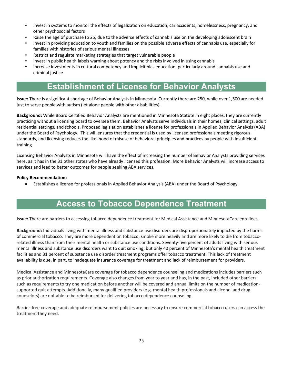- Invest in systems to monitor the effects of legalization on education, car accidents, homelessness, pregnancy, and other psychosocial factors
- Raise the age of purchase to 25, due to the adverse effects of cannabis use on the developing adolescent brain
- Invest in providing education to youth and families on the possible adverse effects of cannabis use, especially for families with histories of serious mental illnesses
- Restrict and regulate marketing strategies that target vulnerable people
- Invest in public health labels warning about potency and the risks involved in using cannabis
- Increase investments in cultural competency and implicit bias education, particularly around cannabis use and criminal justice

### **Establishment of License for Behavior Analysts**

**Issue:** There is a significant shortage of Behavior Analysts in Minnesota. Currently there are 250, while over 1,500 are needed just to serve people with autism (let alone people with other disabilities).

**Background:** While Board Certified Behavior Analysts are mentioned in Minnesota Statute in eight places, they are currently practicing without a licensing board to oversee them. Behavior Analysts serve individuals in their homes, clinical settings, adult residential settings, and schools. Proposed legislation establishes a license for professionals in Applied Behavior Analysis (ABA) under the Board of Psychology. This will ensures that the credential is used by licensed professionals meeting rigorous standards, and licensing reduces the likelihood of misuse of behavioral principles and practices by people with insufficient training

Licensing Behavior Analysts in Minnesota will have the effect of increasing the number of Behavior Analysts providing services here, as it has in the 31 other states who have already licensed this profession. More Behavior Analysts will increase access to services and lead to better outcomes for people seeking ABA services.

#### **Policy Recommendation:**

• Establishes a license for professionals in Applied Behavior Analysis (ABA) under the Board of Psychology.

### **Access to Tobacco Dependence Treatment**

**Issue:** There are barriers to accessing tobacco dependence treatment for Medical Assistance and MinnesotaCare enrollees.

**Background:** Individuals living with mental illness and substance use disorders are disproportionately impacted by the harms of commercial tobacco. They are more dependent on tobacco, smoke more heavily and are more likely to die from tobaccorelated illness than from their mental health or substance use conditions. Seventy-five percent of adults living with serious mental illness and substance use disorders want to quit smoking, but only 40 percent of Minnesota's mental health treatment facilities and 31 percent of substance use disorder treatment programs offer tobacco treatment. This lack of treatment availability is due, in part, to inadequate insurance coverage for treatment and lack of reimbursement for providers.

Medical Assistance and MinnesotaCare coverage for tobacco dependence counseling and medications includes barriers such as prior authorization requirements. Coverage also changes from year to year and has, in the past, included other barriers such as requirements to try one medication before another will be covered and annual limits on the number of medicationsupported quit attempts. Additionally, many qualified providers (e.g. mental health professionals and alcohol and drug counselors) are not able to be reimbursed for delivering tobacco dependence counseling.

Barrier-free coverage and adequate reimbursement policies are necessary to ensure commercial tobacco users can access the treatment they need.